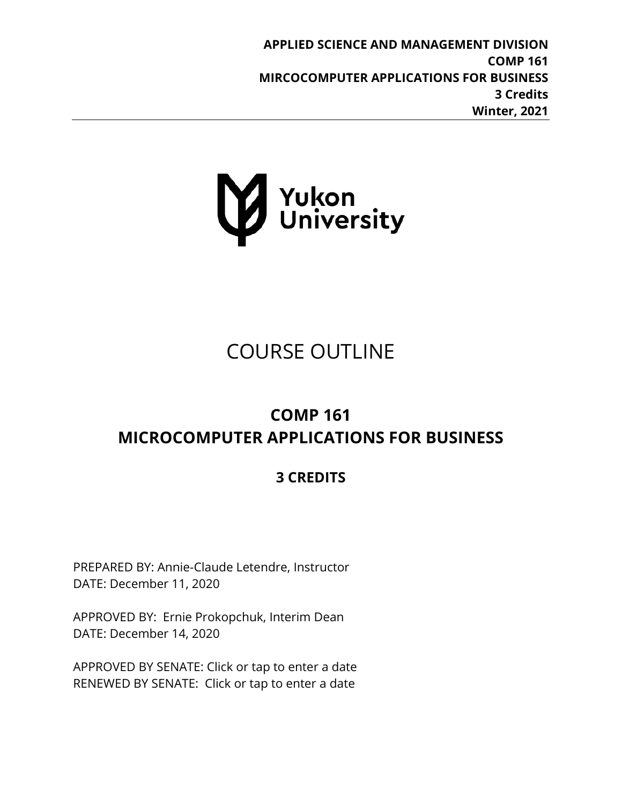**APPLIED SCIENCE AND MANAGEMENT DIVISION COMP 161 MIRCOCOMPUTER APPLICATIONS FOR BUSINESS 3 Credits Winter, 2021**



# COURSE OUTLINE

## **COMP 161 MICROCOMPUTER APPLICATIONS FOR BUSINESS**

## **3 CREDITS**

PREPARED BY: Annie-Claude Letendre, Instructor DATE: December 11, 2020

APPROVED BY: Ernie Prokopchuk, Interim Dean DATE: December 14, 2020

APPROVED BY SENATE: Click or tap to enter a date RENEWED BY SENATE: Click or tap to enter a date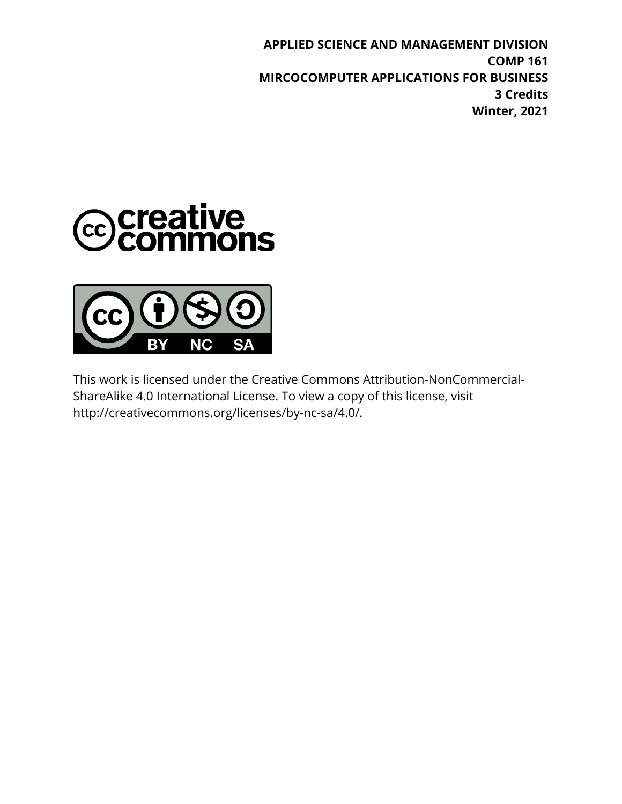**APPLIED SCIENCE AND MANAGEMENT DIVISION COMP 161 MIRCOCOMPUTER APPLICATIONS FOR BUSINESS 3 Credits Winter, 2021**





This work is licensed under the Creative Commons Attribution-NonCommercial-ShareAlike 4.0 International License. To view a copy of this license, visit http://creativecommons.org/licenses/by-nc-sa/4.0/.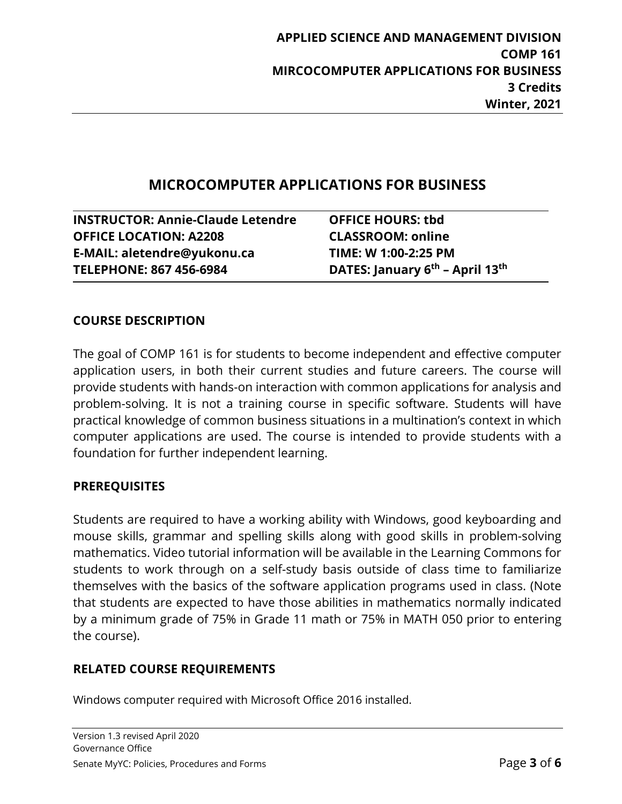### **MICROCOMPUTER APPLICATIONS FOR BUSINESS**

**INSTRUCTOR: Annie-Claude Letendre OFFICE HOURS: tbd OFFICE LOCATION: A2208 CLASSROOM: online E-MAIL: aletendre@yukonu.ca TIME: W 1:00-2:25 PM TELEPHONE: 867 456-6984 DATES: January 6th – April 13th**

#### **COURSE DESCRIPTION**

The goal of COMP 161 is for students to become independent and effective computer application users, in both their current studies and future careers. The course will provide students with hands-on interaction with common applications for analysis and problem-solving. It is not a training course in specific software. Students will have practical knowledge of common business situations in a multination's context in which computer applications are used. The course is intended to provide students with a foundation for further independent learning.

#### **PREREQUISITES**

Students are required to have a working ability with Windows, good keyboarding and mouse skills, grammar and spelling skills along with good skills in problem-solving mathematics. Video tutorial information will be available in the Learning Commons for students to work through on a self-study basis outside of class time to familiarize themselves with the basics of the software application programs used in class. (Note that students are expected to have those abilities in mathematics normally indicated by a minimum grade of 75% in Grade 11 math or 75% in MATH 050 prior to entering the course).

#### **RELATED COURSE REQUIREMENTS**

Windows computer required with Microsoft Office 2016 installed.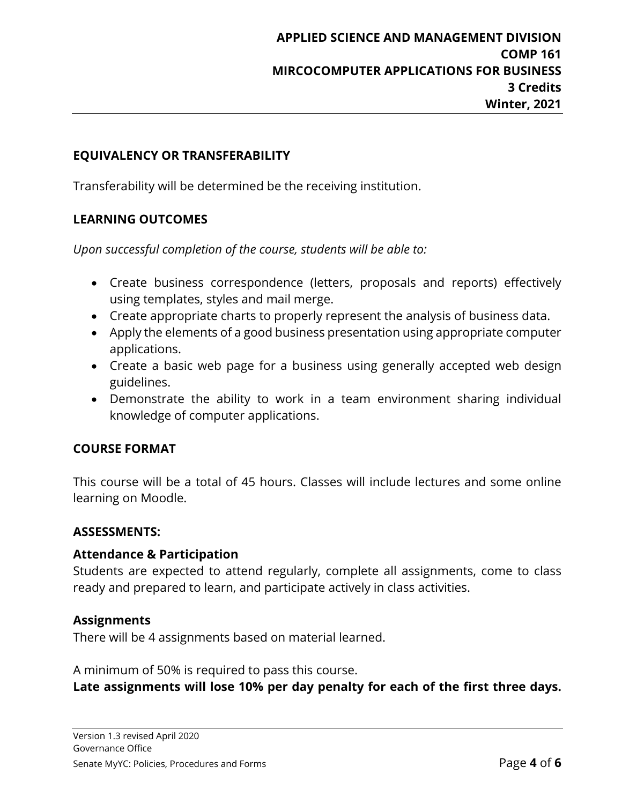#### **EQUIVALENCY OR TRANSFERABILITY**

Transferability will be determined be the receiving institution.

#### **LEARNING OUTCOMES**

*Upon successful completion of the course, students will be able to:*

- Create business correspondence (letters, proposals and reports) effectively using templates, styles and mail merge.
- Create appropriate charts to properly represent the analysis of business data.
- Apply the elements of a good business presentation using appropriate computer applications.
- Create a basic web page for a business using generally accepted web design guidelines.
- Demonstrate the ability to work in a team environment sharing individual knowledge of computer applications.

#### **COURSE FORMAT**

This course will be a total of 45 hours. Classes will include lectures and some online learning on Moodle.

#### **ASSESSMENTS:**

#### **Attendance & Participation**

Students are expected to attend regularly, complete all assignments, come to class ready and prepared to learn, and participate actively in class activities.

#### **Assignments**

There will be 4 assignments based on material learned.

A minimum of 50% is required to pass this course.

**Late assignments will lose 10% per day penalty for each of the first three days.**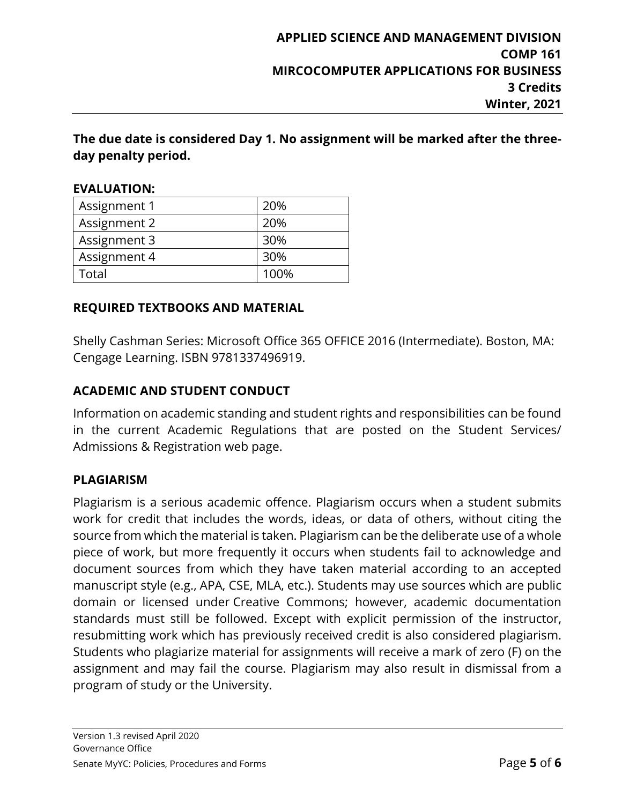**The due date is considered Day 1. No assignment will be marked after the threeday penalty period.** 

| EVALUATION:  |      |
|--------------|------|
| Assignment 1 | 20%  |
| Assignment 2 | 20%  |
| Assignment 3 | 30%  |
| Assignment 4 | 30%  |
| Total        | 100% |

### **EVALUATION:**

#### **REQUIRED TEXTBOOKS AND MATERIAL**

Shelly Cashman Series: Microsoft Office 365 OFFICE 2016 (Intermediate). Boston, MA: Cengage Learning. ISBN 9781337496919.

#### **ACADEMIC AND STUDENT CONDUCT**

Information on academic standing and student rights and responsibilities can be found in the current Academic Regulations that are posted on the Student Services/ Admissions & Registration web page.

#### **PLAGIARISM**

Plagiarism is a serious academic offence. Plagiarism occurs when a student submits work for credit that includes the words, ideas, or data of others, without citing the source from which the material is taken. Plagiarism can be the deliberate use of a whole piece of work, but more frequently it occurs when students fail to acknowledge and document sources from which they have taken material according to an accepted manuscript style (e.g., APA, CSE, MLA, etc.). Students may use sources which are public domain or licensed under Creative Commons; however, academic documentation standards must still be followed. Except with explicit permission of the instructor, resubmitting work which has previously received credit is also considered plagiarism. Students who plagiarize material for assignments will receive a mark of zero (F) on the assignment and may fail the course. Plagiarism may also result in dismissal from a program of study or the University.